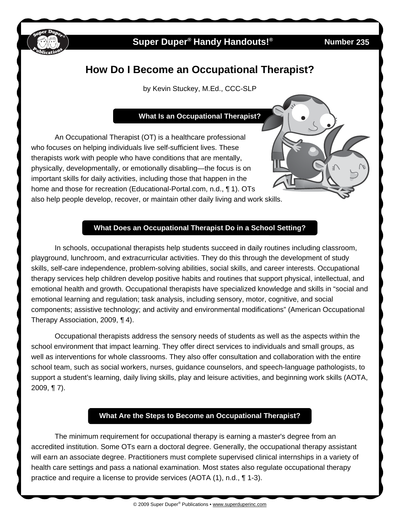

## **Super Duper<sup>®</sup> Handy Handouts!®**

**235** 

# **How Do I Become an Occupational Therapist?**

by Kevin Stuckey, M.Ed., CCC-SLP

#### **What Is an Occupational Therapist?**

An Occupational Therapist (OT) is a healthcare professional who focuses on helping individuals live self-sufficient lives. These therapists work with people who have conditions that are mentally, physically, developmentally, or emotionally disabling—the focus is on important skills for daily activities, including those that happen in the home and those for recreation (Educational-Portal.com, n.d., ¶ 1). OTs also help people develop, recover, or maintain other daily living and work skills.

### **What Does an Occupational Therapist Do in a School Setting?**

In schools, occupational therapists help students succeed in daily routines including classroom, playground, lunchroom, and extracurricular activities. They do this through the development of study skills, self-care independence, problem-solving abilities, social skills, and career interests. Occupational therapy services help children develop positive habits and routines that support physical, intellectual, and emotional health and growth. Occupational therapists have specialized knowledge and skills in "social and emotional learning and regulation; task analysis, including sensory, motor, cognitive, and social components; assistive technology; and activity and environmental modifications" (American Occupational Therapy Association, 2009, ¶ 4).

Occupational therapists address the sensory needs of students as well as the aspects within the school environment that impact learning. They offer direct services to individuals and small groups, as well as interventions for whole classrooms. They also offer consultation and collaboration with the entire school team, such as social workers, nurses, guidance counselors, and speech-language pathologists, to support a student's learning, daily living skills, play and leisure activities, and beginning work skills (AOTA, 2009, ¶ 7).

#### **What Are the Steps to Become an Occupational Therapist?**

The minimum requirement for occupational therapy is earning a master's degree from an accredited institution. Some OTs earn a doctoral degree. Generally, the occupational therapy assistant will earn an associate degree. Practitioners must complete supervised clinical internships in a variety of health care settings and pass a national examination. Most states also regulate occupational therapy practice and require a license to provide services (AOTA (1), n.d., ¶ 1-3).